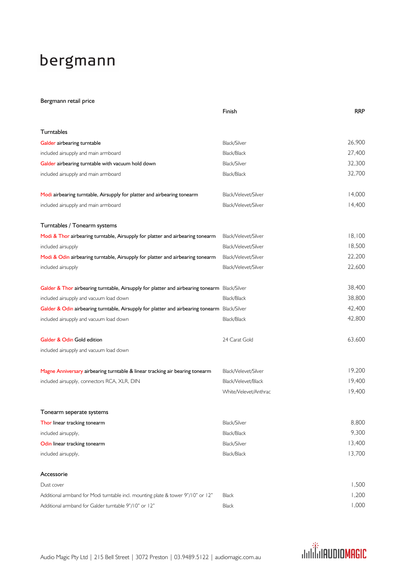## bergmann

## Bergmann retail price

|                                                                                               | Finish                | <b>RRP</b> |
|-----------------------------------------------------------------------------------------------|-----------------------|------------|
| Turntables                                                                                    |                       |            |
| Galder airbearing turntable                                                                   | Black/Silver          | 26,900     |
| included airsupply and main armboard                                                          | Black/Black           | 27,400     |
| Galder airbearing turntable with vacuum hold down                                             | Black/Silver          | 32,300     |
| included airsupply and main armboard                                                          | Black/Black           | 32,700     |
| Modi airbearing turntable, Airsupply for platter and airbearing tonearm                       | Black/Velevet/Silver  | 14,000     |
| included airsupply and main armboard                                                          | Black/Velevet/Silver  | 14,400     |
| Turntables / Tonearm systems                                                                  |                       |            |
| Modi & Thor airbearing turntable, Airsupply for platter and airbearing tonearm                | Black/Velevet/Silver  | 18,100     |
| included airsupply                                                                            | Black/Velevet/Silver  | 18,500     |
| Modi & Odin airbearing turntable, Airsupply for platter and airbearing tonearm                | Black/Velevet/Silver  | 22,200     |
| included airsupply                                                                            | Black/Velevet/Silver  | 22,600     |
| Galder & Thor airbearing turntable, Airsupply for platter and airbearing tonearm Black/Silver |                       | 38,400     |
| included airsupply and vacuum load down                                                       | Black/Black           | 38,800     |
| Galder & Odin airbearing turntable, Airsupply for platter and airbearing tonearm              | Black/Silver          | 42,400     |
| included airsupply and vacuum load down                                                       | Black/Black           | 42,800     |
| Galder & Odin Gold edition                                                                    | 24 Carat Gold         | 63,600     |
| included airsupply and vacuum load down                                                       |                       |            |
| Magne Anniversary airbearing turntable & linear tracking air bearing tonearm                  | Black/Velevet/Silver  | 19,200     |
| included airsupply, connectors RCA, XLR, DIN                                                  | Black/Velevet/Black   | 19,400     |
|                                                                                               | White/Velevet/Anthrac | 19,400     |
| Tonearm seperate systems                                                                      |                       |            |
| Thor linear tracking tonearm                                                                  | Black/Silver          | 8,800      |
| included airsupply,                                                                           | Black/Black           | 9,300      |
| Odin linear tracking tonearm                                                                  | Black/Silver          | 13,400     |
| included airsupply,                                                                           | Black/Black           | 13,700     |
| Accessorie                                                                                    |                       |            |
| Dust cover                                                                                    |                       | 1,500      |
| Additional armband for Modi turntable incl. mounting plate & tower 9"/10" or 12"              | <b>Black</b>          | 1,200      |
| Additional armband for Galder turntable 9"/10" or 12"                                         | Black                 | 1,000      |